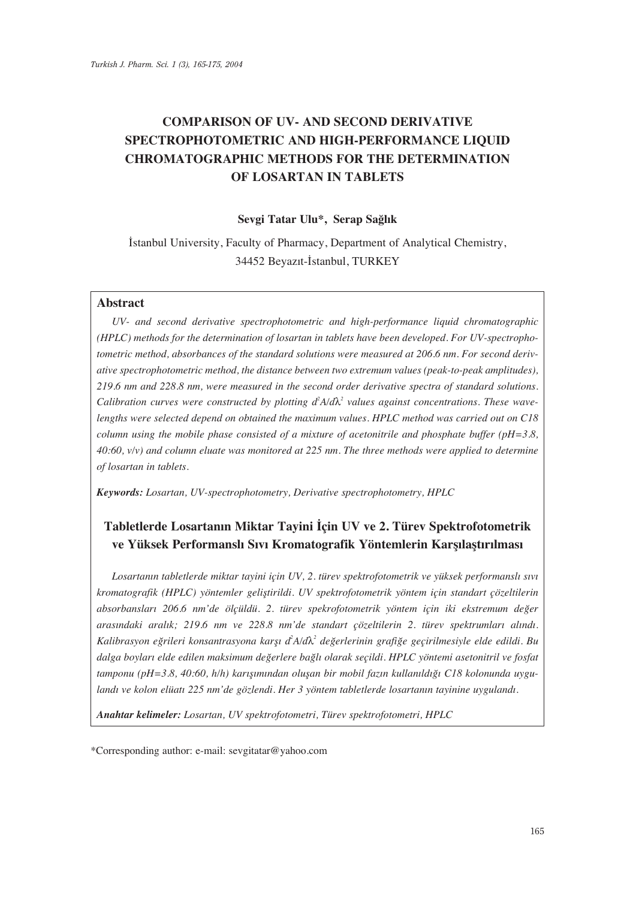# **COMPARISON OF UV- AND SECOND DERIVATIVE SPECTROPHOTOMETRIC AND HIGH-PERFORMANCE LIQUID CHROMATOGRAPHIC METHODS FOR THE DETERMINATION OF LOSARTAN IN TABLETS**

## Sevgi Tatar Ulu\*, Serap Sağlık

İstanbul University, Faculty of Pharmacy, Department of Analytical Chemistry, 34452 Beyazıt-İstanbul, TURKEY

## **Abstract**

*UV- and second derivative spectrophotometric and high-performance liquid chromatographic (HPLC) methods for the determination of losartan in tablets have been developed. For UV-spectrophotometric method, absorbances of the standard solutions were measured at 206.6 nm. For second derivative spectrophotometric method, the distance between two extremum values (peak-to-peak amplitudes), 219.6 nm and 228.8 nm, were measured in the second order derivative spectra of standard solutions. Calibration curves were constructed by plotting*  $d^2A/d\lambda^2$  *values against concentrations. These wavelengths were selected depend on obtained the maximum values. HPLC method was carried out on C18 column using the mobile phase consisted of a mixture of acetonitrile and phosphate buffer (pH=3.8, 40:60, v/v) and column eluate was monitored at 225 nm. The three methods were applied to determine of losartan in tablets.* 

*Keywords: Losartan, UV-spectrophotometry, Derivative spectrophotometry, HPLC* 

## **Tabletlerde Losartanın Miktar Tayini İçin UV ve 2. Türev Spektrofotometrik** ve Yüksek Performanslı Sıvı Kromatografik Yöntemlerin Karsılaştırılması

Losartanın tabletlerde miktar tayini için UV, 2. türev spektrofotometrik ve yüksek performanslı sıvı *kromatografik (HPLC) yöntemler gelifltirildi. UV spektrofotometrik yöntem için standart çözeltilerin*  absorbansları 206.6 nm'de ölçüldü. 2. türev spekrofotometrik yöntem için iki ekstremum değer arasındaki aralık; 219.6 nm ve 228.8 nm'de standart çözeltilerin 2. türev spektrumları alındı. Kalibrasyon eğrileri konsantrasyona karşı d<sup>2</sup>A/dλ<sup>2</sup> değerlerinin grafiğe geçirilmesiyle elde edildi. Bu *dalga boylar› elde edilen maksimum de¤erlere ba¤l› olarak seçildi. HPLC yöntemi asetonitril ve fosfat*  tamponu (pH=3.8, 40:60, h/h) karışımından oluşan bir mobil fazın kullanıldığı C18 kolonunda uygulandı ve kolon elüatı 225 nm'de gözlendi. Her 3 yöntem tabletlerde losartanın tayinine uygulandı.

*Anahtar kelimeler: Losartan, UV spektrofotometri, Türev spektrofotometri, HPLC* 

\*Corresponding author: e-mail: sevgitatar@yahoo.com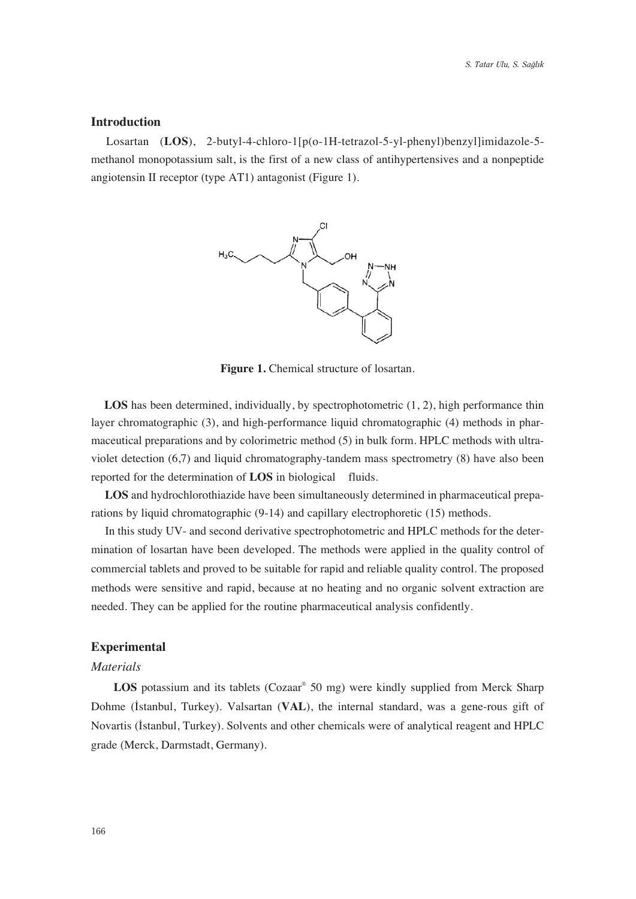## **Introduction**

Losartan (**LOS**), 2-butyl-4-chloro-1[p(o-1H-tetrazol-5-yl-phenyl)benzyl]imidazole-5 methanol monopotassium salt, is the first of a new class of antihypertensives and a nonpeptide angiotensin II receptor (type AT1) antagonist (Figure 1).



Figure 1. Chemical structure of losartan.

LOS has been determined, individually, by spectrophotometric  $(1, 2)$ , high performance thin layer chromatographic (3), and high-performance liquid chromatographic (4) methods in pharmaceutical preparations and by colorimetric method (5) in bulk form. HPLC methods with ultraviolet detection (6,7) and liquid chromatography-tandem mass spectrometry (8) have also been reported for the determination of **LOS** in biological fluids.

**LOS** and hydrochlorothiazide have been simultaneously determined in pharmaceutical preparations by liquid chromatographic (9-14) and capillary electrophoretic (15) methods.

In this study UV- and second derivative spectrophotometric and HPLC methods for the determination of losartan have been developed. The methods were applied in the quality control of commercial tablets and proved to be suitable for rapid and reliable quality control. The proposed methods were sensitive and rapid, because at no heating and no organic solvent extraction are needed. They can be applied for the routine pharmaceutical analysis confidently.

#### **Experimental**

#### *Materials*

LOS potassium and its tablets (Cozaar<sup>®</sup> 50 mg) were kindly supplied from Merck Sharp Dohme (Istanbul, Turkey). Valsartan (VAL), the internal standard, was a gene-rous gift of Novartis (Istanbul, Turkey). Solvents and other chemicals were of analytical reagent and HPLC grade (Merck, Darmstadt, Germany).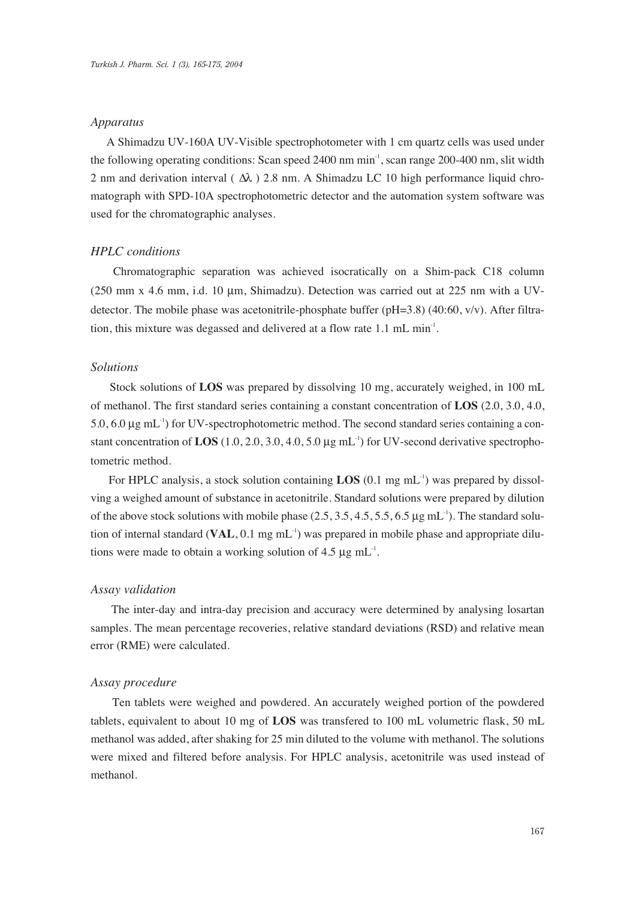### *Apparatus*

A Shimadzu UV-160A UV-Visible spectrophotometer with 1 cm quartz cells was used under the following operating conditions: Scan speed 2400 nm min<sup>-1</sup>, scan range 200-400 nm, slit width 2 nm and derivation interval ( $\Delta\lambda$ ) 2.8 nm. A Shimadzu LC 10 high performance liquid chromatograph with SPD-10A spectrophotometric detector and the automation system software was used for the chromatographic analyses.

## *HPLC conditions*

Chromatographic separation was achieved isocratically on a Shim-pack C18 column (250 mm x 4.6 mm, i.d. 10  $\mu$ m, Shimadzu). Detection was carried out at 225 nm with a UVdetector. The mobile phase was acetonitrile-phosphate buffer ( $pH=3.8$ ) (40:60, v/v). After filtration, this mixture was degassed and delivered at a flow rate 1.1 mL min<sup>-1</sup>.

## *Solutions*

Stock solutions of **LOS** was prepared by dissolving 10 mg, accurately weighed, in 100 mL of methanol. The first standard series containing a constant concentration of **LOS** (2.0, 3.0, 4.0,  $5.0$ ,  $6.0 \mu$ g mL<sup>-1</sup>) for UV-spectrophotometric method. The second standard series containing a constant concentration of LOS  $(1.0, 2.0, 3.0, 4.0, 5.0 \mu g \text{ mL}^{-1})$  for UV-second derivative spectrophotometric method.

For HPLC analysis, a stock solution containing **LOS**  $(0.1 \text{ mg} \text{ mL}^1)$  was prepared by dissolving a weighed amount of substance in acetonitrile. Standard solutions were prepared by dilution of the above stock solutions with mobile phase  $(2.5, 3.5, 4.5, 5.5, 6.5 \mu g \text{ mL}^{-1})$ . The standard solution of internal standard (VAL, 0.1 mg mL<sup>-1</sup>) was prepared in mobile phase and appropriate dilutions were made to obtain a working solution of  $4.5 \mu g \text{ mL}^{-1}$ .

### *Assay validation*

The inter-day and intra-day precision and accuracy were determined by analysing losartan samples. The mean percentage recoveries, relative standard deviations (RSD) and relative mean error (RME) were calculated.

## *Assay procedure*

Ten tablets were weighed and powdered. An accurately weighed portion of the powdered tablets, equivalent to about 10 mg of **LOS** was transfered to 100 mL volumetric flask, 50 mL methanol was added, after shaking for 25 min diluted to the volume with methanol. The solutions were mixed and filtered before analysis. For HPLC analysis, acetonitrile was used instead of methanol.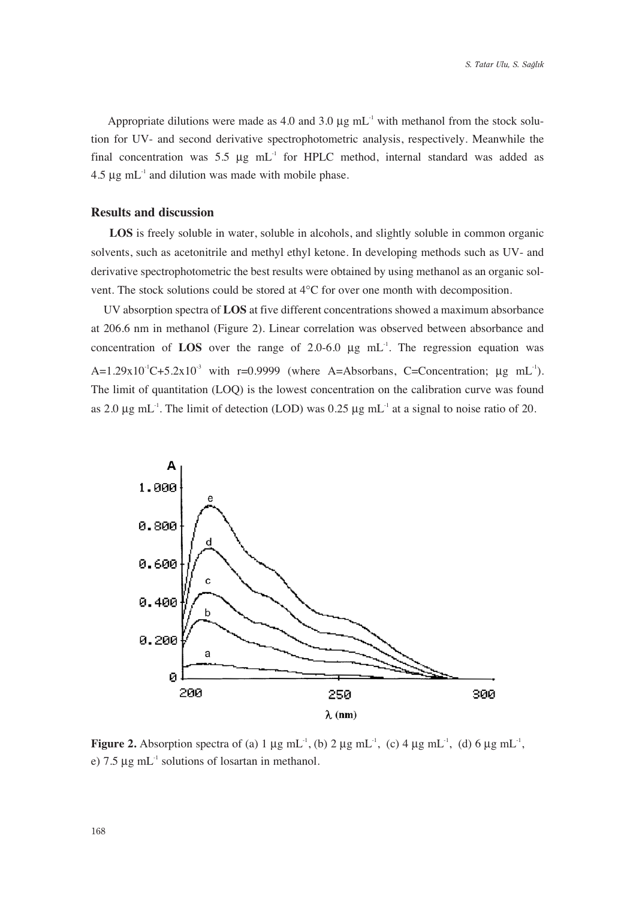Appropriate dilutions were made as 4.0 and 3.0  $\mu$ g mL<sup>-1</sup> with methanol from the stock solution for UV- and second derivative spectrophotometric analysis, respectively. Meanwhile the final concentration was 5.5  $\mu$ g mL<sup>-1</sup> for HPLC method, internal standard was added as  $4.5 \mu$ g mL<sup>-1</sup> and dilution was made with mobile phase.

## **Results and discussion**

**LOS** is freely soluble in water, soluble in alcohols, and slightly soluble in common organic solvents, such as acetonitrile and methyl ethyl ketone. In developing methods such as UV- and derivative spectrophotometric the best results were obtained by using methanol as an organic solvent. The stock solutions could be stored at 4°C for over one month with decomposition.

UV absorption spectra of **LOS** at five different concentrations showed a maximum absorbance at 206.6 nm in methanol (Figure 2). Linear correlation was observed between absorbance and concentration of **LOS** over the range of  $2.0-6.0$   $\mu$ g mL<sup>-1</sup>. The regression equation was  $A=1.29x10^{-1}C+5.2x10^{-3}$  with r=0.9999 (where A=Absorbans, C=Concentration;  $\mu$ g mL<sup>-1</sup>). The limit of quantitation (LOQ) is the lowest concentration on the calibration curve was found as 2.0  $\mu$ g mL<sup>-1</sup>. The limit of detection (LOD) was 0.25  $\mu$ g mL<sup>-1</sup> at a signal to noise ratio of 20.



**Figure 2.** Absorption spectra of (a)  $1 \mu g$  mL<sup>-1</sup>, (b)  $2 \mu g$  mL<sup>-1</sup>, (c)  $4 \mu g$  mL<sup>-1</sup>, (d)  $6 \mu g$  mL<sup>-1</sup>, e)  $7.5 \mu$ g mL<sup>-1</sup> solutions of losartan in methanol.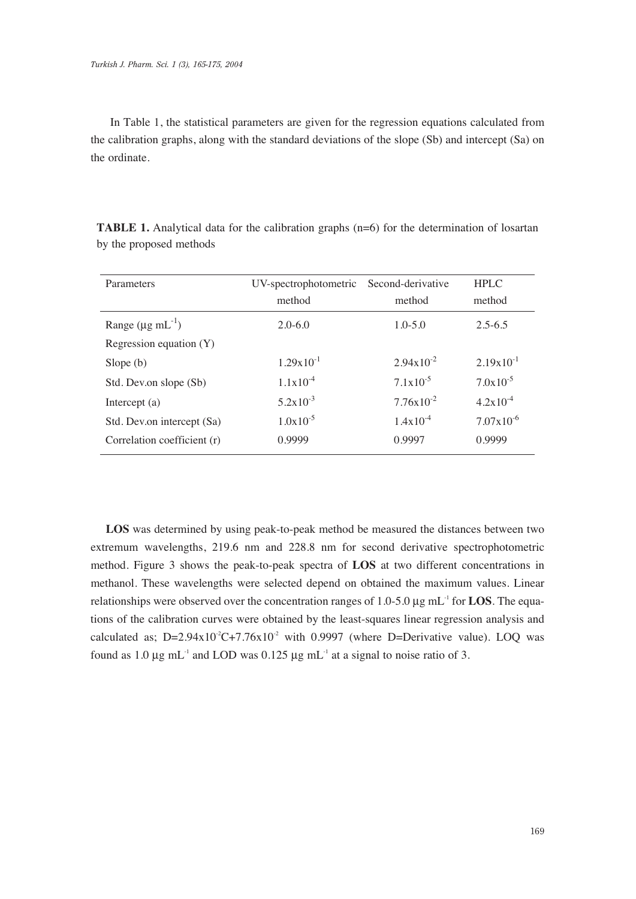In Table 1, the statistical parameters are given for the regression equations calculated from the calibration graphs, along with the standard deviations of the slope (Sb) and intercept (Sa) on the ordinate.

| Parameters                      | UV-spectrophotometric Second-derivative |                       | <b>HPLC</b>           |
|---------------------------------|-----------------------------------------|-----------------------|-----------------------|
|                                 | method                                  | method                | method                |
| Range $(\mu g \text{ mL}^{-1})$ | $2.0 - 6.0$                             | $1.0 - 5.0$           | $2.5 - 6.5$           |
| Regression equation (Y)         |                                         |                       |                       |
| Slope $(b)$                     | $1.29 \times 10^{-1}$                   | $2.94 \times 10^{-2}$ | $2.19x10^{-1}$        |
| Std. Dev.on slope (Sb)          | $1.1x10^{-4}$                           | $7.1 \times 10^{-5}$  | $7.0x10^{-5}$         |
| Intercept $(a)$                 | $5.2 \times 10^{-3}$                    | $7.76x10^{-2}$        | $4.2x10^{-4}$         |
| Std. Dev.on intercept (Sa)      | $1.0x10^{-5}$                           | $1.4x10^{-4}$         | $7.07 \times 10^{-6}$ |
| Correlation coefficient (r)     | 0.9999                                  | 0.9997                | 0.9999                |
|                                 |                                         |                       |                       |

**TABLE 1.** Analytical data for the calibration graphs (n=6) for the determination of losartan by the proposed methods

**LOS** was determined by using peak-to-peak method be measured the distances between two extremum wavelengths, 219.6 nm and 228.8 nm for second derivative spectrophotometric method. Figure 3 shows the peak-to-peak spectra of **LOS** at two different concentrations in methanol. These wavelengths were selected depend on obtained the maximum values. Linear relationships were observed over the concentration ranges of 1.0-5.0  $\mu$ g mL<sup>-1</sup> for **LOS**. The equations of the calibration curves were obtained by the least-squares linear regression analysis and calculated as;  $D=2.94x10^2C+7.76x10^2$  with 0.9997 (where D=Derivative value). LOO was found as 1.0  $\mu$ g mL<sup>-1</sup> and LOD was 0.125  $\mu$ g mL<sup>-1</sup> at a signal to noise ratio of 3.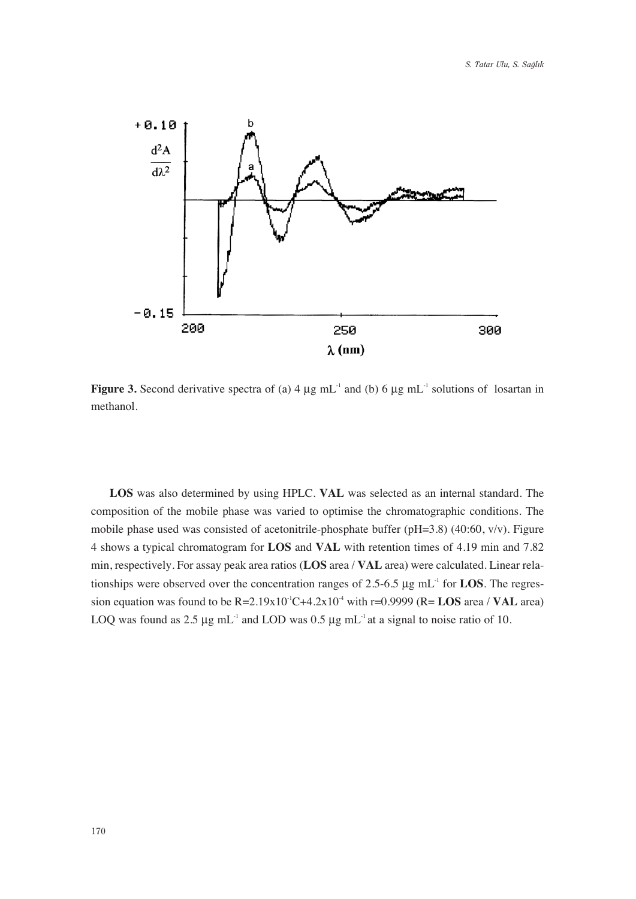

Figure 3. Second derivative spectra of (a) 4 μg mL<sup>-1</sup> and (b) 6 μg mL<sup>-1</sup> solutions of losartan in methanol.

**LOS** was also determined by using HPLC. **VAL** was selected as an internal standard. The composition of the mobile phase was varied to optimise the chromatographic conditions. The mobile phase used was consisted of acetonitrile-phosphate buffer (pH=3.8) (40:60, v/v). Figure 4 shows a typical chromatogram for **LOS** and **VAL** with retention times of 4.19 min and 7.82 min, respectively. For assay peak area ratios (**LOS** area / **VAL** area) were calculated. Linear relationships were observed over the concentration ranges of 2.5-6.5  $\mu$ g mL<sup>-1</sup> for **LOS**. The regression equation was found to be  $R=2.19x10^{-1}C+4.2x10^{-4}$  with  $r=0.9999$  ( $R=LOS$  area / **VAL** area) LOQ was found as 2.5  $\mu$ g mL<sup>-1</sup> and LOD was 0.5  $\mu$ g mL<sup>-1</sup> at a signal to noise ratio of 10.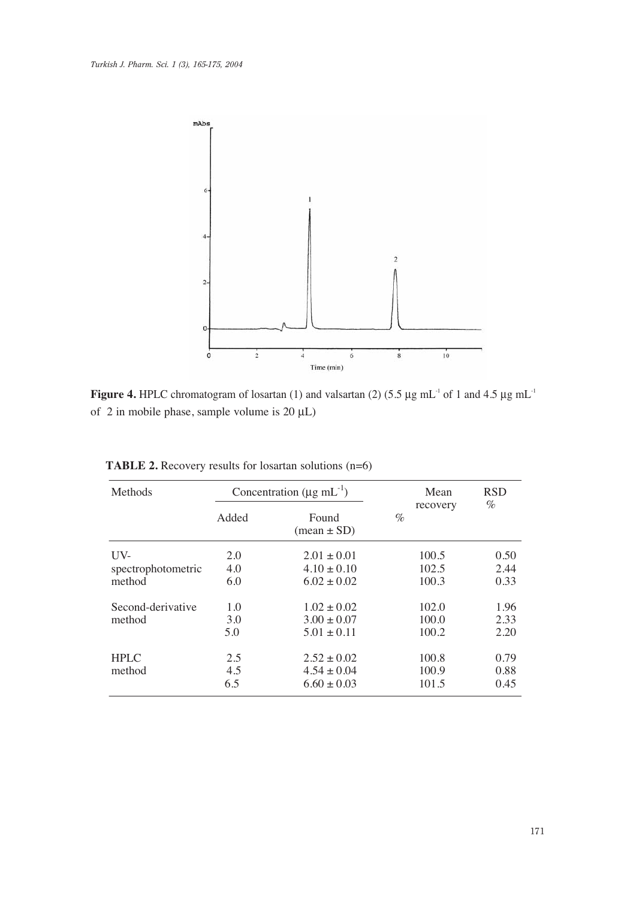

**Figure 4.** HPLC chromatogram of losartan (1) and valsartan (2) (5.5  $\mu$ g mL<sup>-1</sup> of 1 and 4.5  $\mu$ g mL<sup>-1</sup> of 2 in mobile phase, sample volume is 20 μL)

| Methods            | Concentration ( $\mu$ g mL <sup>-1</sup> ) |                                        | Mean<br>recovery | <b>RSD</b><br>$\%$ |
|--------------------|--------------------------------------------|----------------------------------------|------------------|--------------------|
|                    | Added                                      | Found<br>$(\text{mean} \pm \text{SD})$ | $\%$             |                    |
| $UV-$              | 2.0                                        | $2.01 \pm 0.01$                        | 100.5            | 0.50               |
| spectrophotometric | 4.0                                        | $4.10 \pm 0.10$                        | 102.5            | 2.44               |
| method             | 6.0                                        | $6.02 \pm 0.02$                        | 100.3            | 0.33               |
| Second-derivative  | 1.0                                        | $1.02 \pm 0.02$                        | 102.0            | 1.96               |
| method             | 3.0                                        | $3.00 \pm 0.07$                        | 100.0            | 2.33               |
|                    | 5.0                                        | $5.01 \pm 0.11$                        | 100.2            | 2.20               |
| <b>HPLC</b>        | 2.5                                        | $2.52 \pm 0.02$                        | 100.8            | 0.79               |
| method             | 4.5                                        | $4.54 \pm 0.04$                        | 100.9            | 0.88               |
|                    | 6.5                                        | $6.60 \pm 0.03$                        | 101.5            | 0.45               |

**TABLE 2.** Recovery results for losartan solutions (n=6)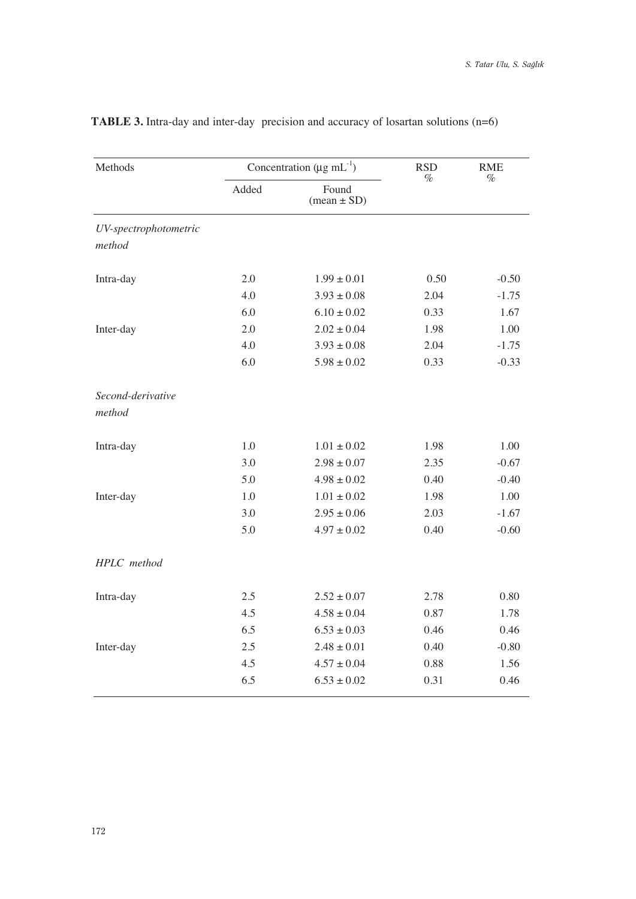| Methods               | Concentration ( $\mu$ g mL <sup>-1</sup> ) |                          | <b>RSD</b> | <b>RME</b> |  |
|-----------------------|--------------------------------------------|--------------------------|------------|------------|--|
|                       | Added                                      | Found<br>$(mean \pm SD)$ | $\%$       | $\%$       |  |
| UV-spectrophotometric |                                            |                          |            |            |  |
| method                |                                            |                          |            |            |  |
| Intra-day             | 2.0                                        | $1.99 \pm 0.01$          | 0.50       | $-0.50$    |  |
|                       | 4.0                                        | $3.93 \pm 0.08$          | 2.04       | $-1.75$    |  |
|                       | 6.0                                        | $6.10 \pm 0.02$          | 0.33       | 1.67       |  |
| Inter-day             | 2.0                                        | $2.02 \pm 0.04$          | 1.98       | 1.00       |  |
|                       | 4.0                                        | $3.93 \pm 0.08$          | 2.04       | $-1.75$    |  |
|                       | 6.0                                        | $5.98 \pm 0.02$          | 0.33       | $-0.33$    |  |
| Second-derivative     |                                            |                          |            |            |  |
| method                |                                            |                          |            |            |  |
| Intra-day             | $1.0\,$                                    | $1.01 \pm 0.02$          | 1.98       | 1.00       |  |
|                       | 3.0                                        | $2.98 \pm 0.07$          | 2.35       | $-0.67$    |  |
|                       | 5.0                                        | $4.98 \pm 0.02$          | 0.40       | $-0.40$    |  |
| Inter-day             | 1.0                                        | $1.01 \pm 0.02$          | 1.98       | 1.00       |  |
|                       | 3.0                                        | $2.95 \pm 0.06$          | 2.03       | $-1.67$    |  |
|                       | 5.0                                        | $4.97 \pm 0.02$          | 0.40       | $-0.60$    |  |
| HPLC method           |                                            |                          |            |            |  |
| Intra-day             | 2.5                                        | $2.52 \pm 0.07$          | 2.78       | 0.80       |  |
|                       | 4.5                                        | $4.58 \pm 0.04$          | 0.87       | 1.78       |  |
|                       | 6.5                                        | $6.53 \pm 0.03$          | 0.46       | 0.46       |  |
| Inter-day             | 2.5                                        | $2.48 \pm 0.01$          | 0.40       | $-0.80$    |  |
|                       | 4.5                                        | $4.57 \pm 0.04$          | 0.88       | 1.56       |  |
|                       | 6.5                                        | $6.53 \pm 0.02$          | 0.31       | 0.46       |  |

## **TABLE 3.** Intra-day and inter-day precision and accuracy of losartan solutions (n=6)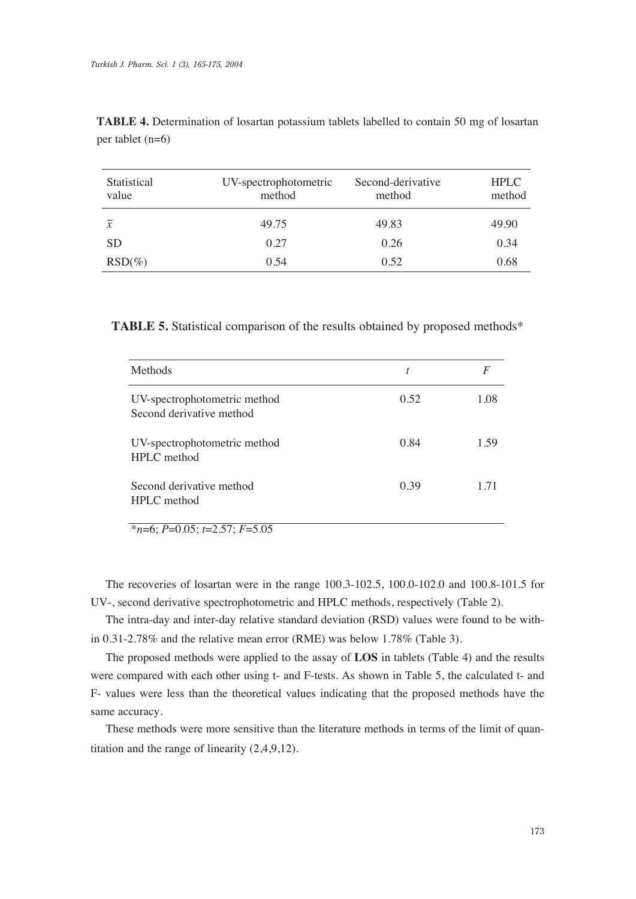| Statistical<br>value | UV-spectrophotometric<br>method | Second-derivative<br>method | <b>HPLC</b><br>method |
|----------------------|---------------------------------|-----------------------------|-----------------------|
| $\overline{x}$       | 49.75                           | 49.83                       | 49.90                 |
| <b>SD</b>            | 0.27                            | 0.26                        | 0.34                  |
| $RSD(\%)$            | 0.54                            | 0.52                        | 0.68                  |

**TABLE 4.** Determination of losartan potassium tablets labelled to contain 50 mg of losartan per tablet (n=6)

**TABLE 5.** Statistical comparison of the results obtained by proposed methods\*

| <b>Methods</b>                                           | t    | F    |
|----------------------------------------------------------|------|------|
| UV-spectrophotometric method<br>Second derivative method | 0.52 | 1.08 |
| UV-spectrophotometric method<br>HPLC method              | 0.84 | 1.59 |
| Second derivative method<br>HPLC method                  | 0.39 | 1 71 |

\**n*=6; *P*=0.05; *t*=2.57; *F*=5.05

The recoveries of losartan were in the range 100.3-102.5, 100.0-102.0 and 100.8-101.5 for UV-, second derivative spectrophotometric and HPLC methods, respectively (Table 2).

The intra-day and inter-day relative standard deviation (RSD) values were found to be within 0.31-2.78% and the relative mean error (RME) was below 1.78% (Table 3).

The proposed methods were applied to the assay of **LOS** in tablets (Table 4) and the results were compared with each other using t- and F-tests. As shown in Table 5, the calculated t- and F- values were less than the theoretical values indicating that the proposed methods have the same accuracy.

These methods were more sensitive than the literature methods in terms of the limit of quantitation and the range of linearity (2,4,9,12).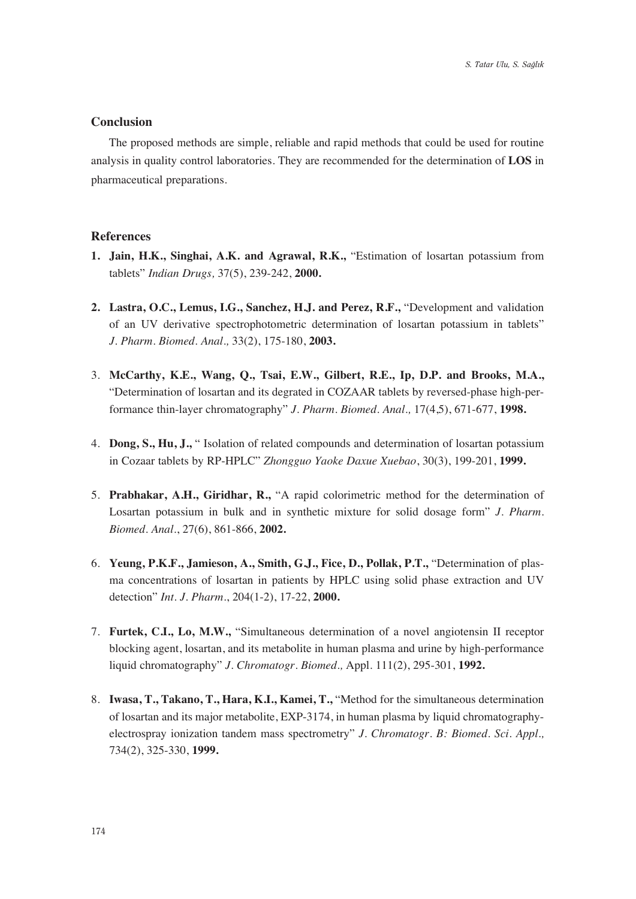## **Conclusion**

The proposed methods are simple, reliable and rapid methods that could be used for routine analysis in quality control laboratories. They are recommended for the determination of **LOS** in pharmaceutical preparations.

#### **References**

- **1. Jain, H.K., Singhai, A.K. and Agrawal, R.K.,** "Estimation of losartan potassium from tablets" *Indian Drugs,* 37(5), 239-242, **2000.**
- **2. Lastra, O.C., Lemus, I.G., Sanchez, H.J. and Perez, R.F.,** "Development and validation of an UV derivative spectrophotometric determination of losartan potassium in tablets" *J. Pharm. Biomed. Anal.,* 33(2), 175-180, **2003.**
- 3. **McCarthy, K.E., Wang, Q., Tsai, E.W., Gilbert, R.E., Ip, D.P. and Brooks, M.A.,**  "Determination of losartan and its degrated in COZAAR tablets by reversed-phase high-performance thin-layer chromatography" *J. Pharm. Biomed. Anal.,* 17(4,5), 671-677, **1998.**
- 4. **Dong, S., Hu, J.,** " Isolation of related compounds and determination of losartan potassium in Cozaar tablets by RP-HPLC" *Zhongguo Yaoke Daxue Xuebao*, 30(3), 199-201, **1999.**
- 5. **Prabhakar, A.H., Giridhar, R.,** "A rapid colorimetric method for the determination of Losartan potassium in bulk and in synthetic mixture for solid dosage form" *J. Pharm. Biomed. Anal.*, 27(6), 861-866, **2002.**
- 6. **Yeung, P.K.F., Jamieson, A., Smith, G.J., Fice, D., Pollak, P.T.,** "Determination of plasma concentrations of losartan in patients by HPLC using solid phase extraction and UV detection" *Int. J. Pharm.*, 204(1-2), 17-22, **2000.**
- 7. **Furtek, C.I., Lo, M.W.,** "Simultaneous determination of a novel angiotensin II receptor blocking agent, losartan, and its metabolite in human plasma and urine by high-performance liquid chromatography" *J. Chromatogr. Biomed.,* Appl. 111(2), 295-301, **1992.**
- 8. **Iwasa, T., Takano, T., Hara, K.I., Kamei, T.,** "Method for the simultaneous determination of losartan and its major metabolite, EXP-3174, in human plasma by liquid chromatographyelectrospray ionization tandem mass spectrometry" *J. Chromatogr. B: Biomed. Sci. Appl.,*  734(2), 325-330, **1999.**